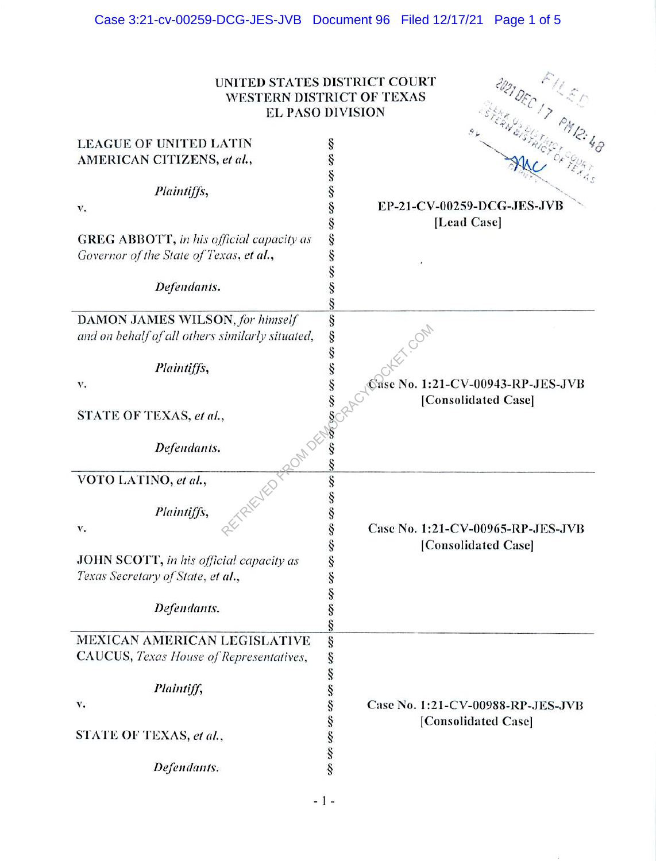|                                                 | ABIDEC IT PMIR.48<br>UNITED STATES DISTRICT COURT<br>WESTERN DISTRICT OF TEXAS<br><b>EL PASO DIVISION</b> |
|-------------------------------------------------|-----------------------------------------------------------------------------------------------------------|
| <b>LEAGUE OF UNITED LATIN</b>                   |                                                                                                           |
|                                                 | ş                                                                                                         |
| AMERICAN CITIZENS, et al.,                      | ş                                                                                                         |
| Plaintiffs,                                     | ş                                                                                                         |
| v.                                              | ş<br>EP-21-CV-00259-DCG-JES-JVB                                                                           |
|                                                 | ş<br>[Lead Case]                                                                                          |
| <b>GREG ABBOTT, in his official capacity as</b> | ş                                                                                                         |
| Governor of the State of Texas, et al.,         |                                                                                                           |
|                                                 |                                                                                                           |
| Defendants.                                     |                                                                                                           |
|                                                 |                                                                                                           |
| DAMON JAMES WILSON, for himself                 |                                                                                                           |
| and on behalf of all others similarly situated, | ş<br>ş                                                                                                    |
| Plaintiffs,                                     |                                                                                                           |
| v.                                              | Sase No. 1:21-CV-00943-RP-JES-JVB                                                                         |
|                                                 |                                                                                                           |
| STATE OF TEXAS, et al.,                         | [Consolidated Case]                                                                                       |
| ZIELIED TRADITIES<br>Defendants.                |                                                                                                           |
| VOTO LATINO, et al.,                            |                                                                                                           |
| Plaintiffs,                                     | ş                                                                                                         |
| v.                                              | ş<br>Case No. 1:21-CV-00965-RP-JES-JVB                                                                    |
|                                                 | ş<br>[Consolidated Case]                                                                                  |
| <b>JOHN SCOTT, in his official capacity as</b>  | ş                                                                                                         |
| Texas Secretary of State, et al.,               | ş                                                                                                         |
|                                                 | ş                                                                                                         |
| Defendants.                                     | ş                                                                                                         |
|                                                 |                                                                                                           |
| MEXICAN AMERICAN LEGISLATIVE                    | ş                                                                                                         |
|                                                 | ş                                                                                                         |
| CAUCUS, Texas House of Representatives,         | ş                                                                                                         |
|                                                 |                                                                                                           |
| Plaintiff,                                      |                                                                                                           |
| v.                                              | Case No. 1:21-CV-00988-RP-JES-JVB                                                                         |
| STATE OF TEXAS, et al.,                         | co co co co co co<br>[Consolidated Case]                                                                  |
| Defendants.                                     | ş                                                                                                         |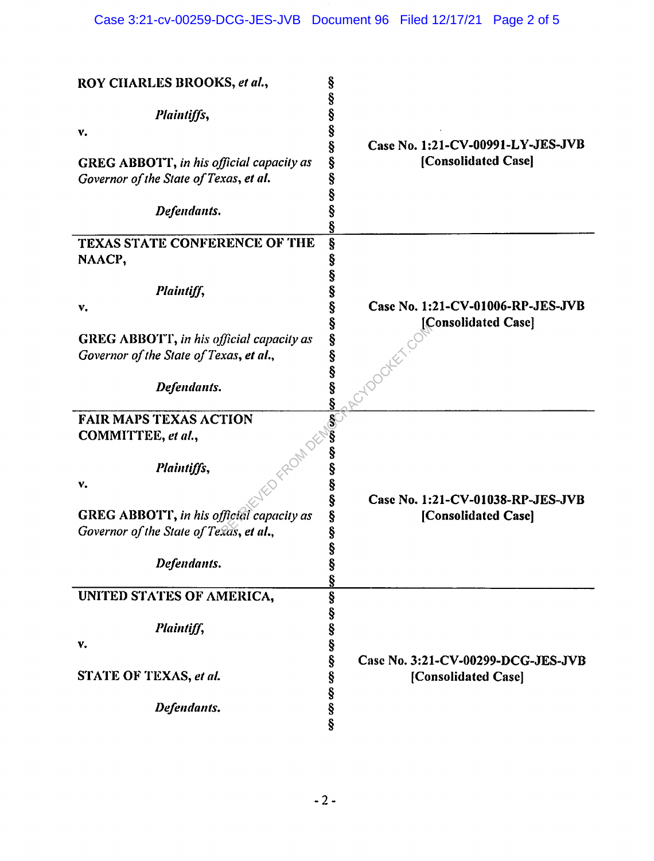| ROY CHARLES BROOKS, et al.,                                                                | §                                                                            |
|--------------------------------------------------------------------------------------------|------------------------------------------------------------------------------|
| Plaintiffs,                                                                                | Ş<br>§                                                                       |
| v.                                                                                         | §                                                                            |
| <b>GREG ABBOTT, in his official capacity as</b><br>Governor of the State of Texas, et al.  | ş<br>Case No. 1:21-CV-00991-LY-JES-JVB<br>Ş<br>[Consolidated Case]<br>ş<br>§ |
| Defendants.                                                                                | ş                                                                            |
| <b>TEXAS STATE CONFERENCE OF THE</b><br>NAACP,                                             | §<br>Ş                                                                       |
| Plaintiff,                                                                                 | Ş<br>Ş                                                                       |
| v.                                                                                         | Ş<br>Case No. 1:21-CV-01006-RP-JES-JVB                                       |
| <b>GREG ABBOTT, in his official capacity as</b><br>Governor of the State of Texas, et al., | Ş<br>[Consolidated Case]<br>§<br>ş                                           |
| Defendants.                                                                                | S<br>S<br>S<br>S                                                             |
| <b>FAIR MAPS TEXAS ACTION</b>                                                              |                                                                              |
| COMMITTEE, et al.,                                                                         | š                                                                            |
| Plaintiffs,                                                                                | ş                                                                            |
| v.                                                                                         | ş<br>§<br>Case No. 1:21-CV-01038-RP-JES-JVB                                  |
| GREG ABBOTT, in his official capacity as                                                   | Ş<br>[Consolidated Case]                                                     |
| Governor of the State of Texas, et al.,                                                    | Ş                                                                            |
| Defendants.                                                                                | Ş<br>Ŝ<br>Ş                                                                  |
| UNITED STATES OF AMERICA,                                                                  |                                                                              |
| Plaintiff,                                                                                 | တာဟာဟာဟာ                                                                     |
| v.                                                                                         |                                                                              |
| STATE OF TEXAS, et al.                                                                     | Ŝ<br>Case No. 3:21-CV-00299-DCG-JES-JVB<br>§<br>[Consolidated Case]          |
| Defendants.                                                                                | §<br>§<br>ş                                                                  |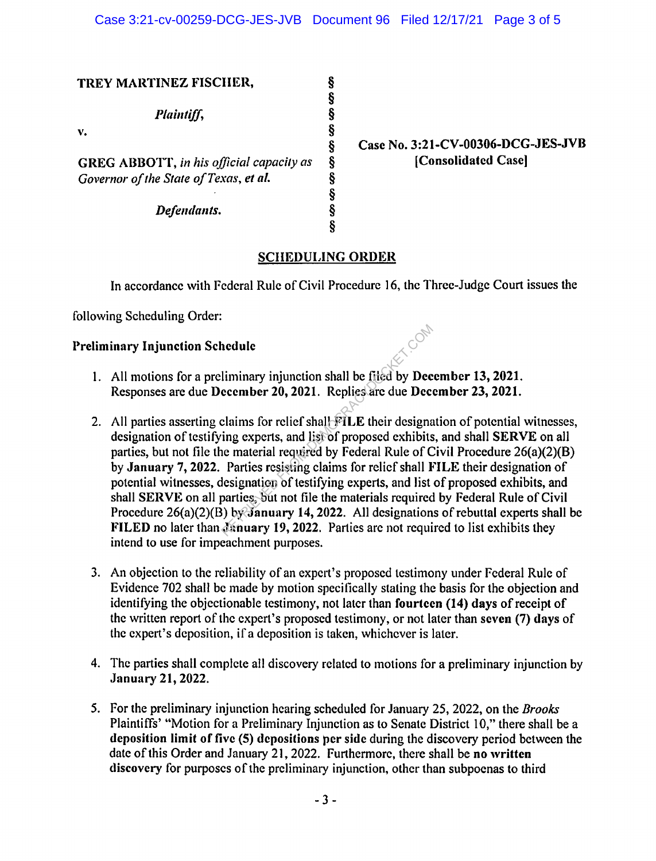| TREY MARTINEZ FISCHER,                           |   |
|--------------------------------------------------|---|
| Plaintiff,                                       | Ş |
| v.                                               |   |
|                                                  | ş |
| <b>GREG ABBOTT</b> , in his official capacity as |   |
| Governor of the State of Texas, et al.           |   |
|                                                  |   |
| Defendants.                                      |   |
|                                                  |   |

**Case No. 3:21-CV-00306-DCG-JES-JVB (Consolidated Case]** 

## **SCHEDULING ORDER**

In accordance with Federal Rule of Civil Procedure 16, the Three-Judge Court issues the

following Scheduling Order:

## **Preliminary Injunction Schedule**

- I. All motions for a preliminary injunction shall be filed by **December 13, 2021.**  Responses are due **December 20, 2021.** Replies arc due **December 23, 2021.**
- 2. All parties asserting claims for relief shall **FILE** their designation of potential witnesses, designation of testifying experts, and list of proposed exhibits, and shall **SERVE** on all parties, but not file the material required by Federal Rule of Civil Procedure 26(a)(2)(8) by **January** 7, **2022.** Parties resisting claims for relief shall **:FILE** their designation of potential witnesses, designation of testifying experts, and list of proposed exhibits, and shall **SERVE** on all parties, but not file the materials required by Federal Rule of Civil Procedure 26(a)(2)(B) by **January 14, 2022.** All designations of rebuttal experts shall be **FILED** no later than *January* 19, 2022. Parties are not required to list exhibits they intend to use for impeachment purposes. Itelation Shall be filed by Dec<br>
Examples are due December 20, 2021. Replies are due December 20, 2021. Replies are due December 20, 2021. Replies are due December<br>
Itelations for relief shall FILE their designaling expert
- 3. An objection to the reliability of an expert's proposed testimony under Federal Rule of Evidence 702 shall be made by motion specifically stating the basis for the objection and identifying the objectionable testimony, not later than **fourteen (14) days** of receipt of the written report of the expert's proposed testimony, or not later than **seven** (7) **days** of the expert's deposition, if a deposition is taken, whichever is later.
- 4. The parties shall complete all discovery related to motions for a preliminary injunction by **January 21, 2022.**
- *5.* For the preliminary injunction hearing scheduled for January 25, 2022, on the *Brooks*  Plaintiffs' "Motion for a Preliminary Injunction as to Senate District 10," there shall be a **deposition limit of five (5) depositions per side** during the discovery period between the date of this Order and January 21, 2022. Furthermore, there shall be **no written discovery** for purposes of the preliminary injunction, other than subpoenas to third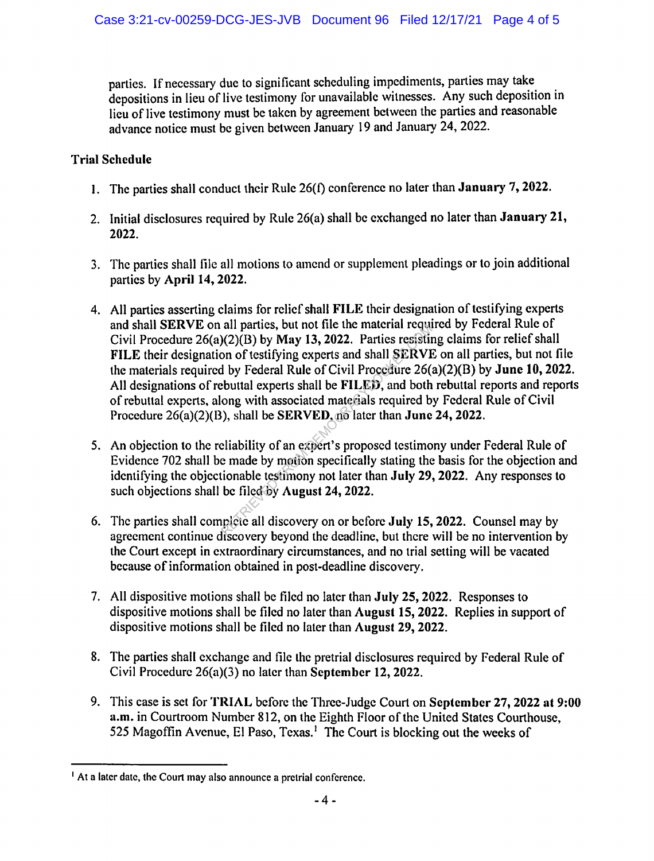parties. If necessary due to significant scheduling impediments, parties may take depositions in lieu of live testimony for unavailable witnesses. Any such deposition in lieu of live testimony must be taken by agreement between the parties and reasonable advance notice must be given between January 19 and January 24, 2022.

## **Trial Schedule**

- I. The parties shall conduct their Rule 26(1) conference no later than **January** 7, **2022.**
- 2. Initial disclosures required by Ruic 26(a) shall be exchanged no later than **January 21, 2022.**
- 3. The parties shall file all motions to amend or supplement pleadings or to join additional parties by **April 14, 2022.**
- 4. All parties asserting claims for relief shall **FILE** their designation of testifying experts and shall **SERVE** on all parties, but not file the material required by Federal Rule of Civil Procedure 26(a)(2)(B) by **May 13, 2022.** Parties resisting claims for relief shall **FILE** their designation of testifying experts and shall **SERVE** on all parties, but not file the materials required by Federal Rule of Civil Procedure 26(a)(2)(8) by **June 10, 2022.**  All designations of rebuttal experts shall be **FILED,** and both rebuttal reports and reports of rebuttal experts, along with associated materials required by Federal Rule of Civil Procedure 26(a)(2)(8), shall be **SERVED,** no later than **June 24, 2022.**  an parties, out not the the material requirements)(2)(B) by May 13, 2022. Parties resisting on of testifying experts and shall SERVI by Federal Rule of Civil Procedure 26(e) buttal experts shall be FILED, and both ong wit
- 5. An objection to the reliability of an expert's proposed testimony under Federal Rule of Evidence 702 shall be made by motion specifically stating the basis for the objection and identifying the objectionable testimony not later than **July 29, 2022.** Any responses to such objections shall be filed by **August 24, 2022.**
- 6. The parties shall complete all discovery on or before **,July 15, 2022.** Counsel may by agreement continue discovery beyond the deadline, but there will be no intervention by the Court except in extraordinary circumstances, and no trial setting will be vacated because of information obtained in post-deadline discovery.
- 7. All dispositive motions shall be filed no later than **.July 25, 2022.** Responses to dispositive motions shall be filed no later than **August 15, 2022.** Replies in support of dispositive motions shall be filed no later than **August 29, 2022.**
- 8. The parties shall exchange and file the pretrial disclosures required by Federal Rule of Civil Procedure 26(a)(3) no later than **September 12, 2022.**
- 9. This case is set for **TRIAL** before the Three-Judge Court on **September 27, 2022 at 9:00**  a.m. in Courtroom Number 812, on the Eighth Floor of the United States Courthouse, 525 Magoffin Avenue, El Paso, Texas.<sup>1</sup> The Court is blocking out the weeks of

<sup>&</sup>lt;sup>1</sup> At a later date, the Court may also announce a pretrial conference.